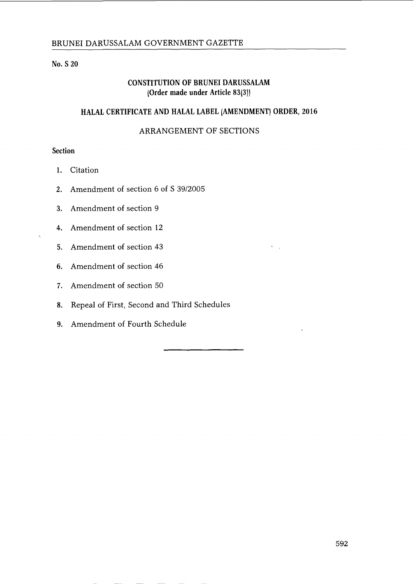## **No. S** 20

# **CONSTITUTION OF BRUNEI DARUSSALAM (Order made under Article 83(3))**

# **HALAL CERTIFICATE AND HALAL LABEL (AMENDMENT) ORDER,** 2016

# ARRANGEMENT OF SECTIONS

# **Section**

- 1. Citation
- 2. Amendment of section 6 of S 39/2005
- **3.** Amendment of section 9
- 4. Amendment of section 12
- 5. Amendment of section 43
- 6. Amendment of section 46
- **7.** Amendment of section 50
- 8. Repeal of First, Second and Third Schedules
- **9.** Amendment of Fourth Schedule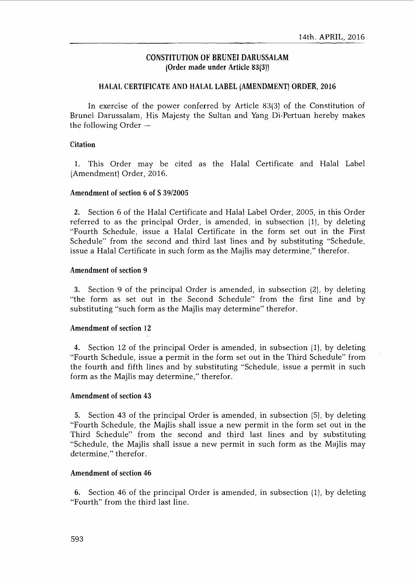### **CONSTITUTION OF BRUNEI DARUSSALAM**  (Order **made under Article 83(3))**

### **HALAL CERTIFICATE AND HALAL LABEL (AMENDMENT) ORDER, 2016**

In exercise of the power conferred by Article **83(3)** of the Constitution of Brunei Darussalam, His Majesty the Sultan and Yang Di-Pertuan hereby makes the following Order —

### **Citation**

1. This Order may be cited as the Halal Certificate and Halal Label (Amendment) Order, 2016.

#### **Amendment of section 6 of S 3912005**

2. Section 6 of the Halal Certificate and Halal Label Order, 2005, in this Order referred to as the principal Order, is amended, in subsection (I), by deleting "Fourth Schedule, issue a Halal Certificate in the form set out in the First Schedule" from the second and third last lines and by substituting "Schedule, issue a Halal Certificate in such form as the Majlis may determine," therefor.

#### **Amendment of section 9**

**3.** Section 9 of the principal Order is amended, in subsection (21, by deleting "the form as set out in the Second Schedule" from the first line and by substituting "such form as the Majlis may determine" therefor.

## **Amendment of section** 12

**4.** Section 12 of the principal Order is amended, in subsection (I), by deleting "Fourth Schedule, issue a permit in the form set out in the Third Schedule" from the fourth and fifth lines and by substituting "Schedule, issue a permit in such form as the Majlis may determine," therefor.

#### **Amendment of section 43**

**5.** Section **43** of the principal Order is amended, in subsection (5), by deleting "Fourth Schedule, the Majlis shall issue a new permit in the form set out in the Third Schedule" from the second and third last lines and by substituting "Schedule, the Majlis shall issue a new permit in such form as the Majlis may determine," therefor.

#### **Amendment of section 46**

**6.** Section 46 of the principal Order is amended, in subsection (I), by deleting "Fourth" from the third last line.